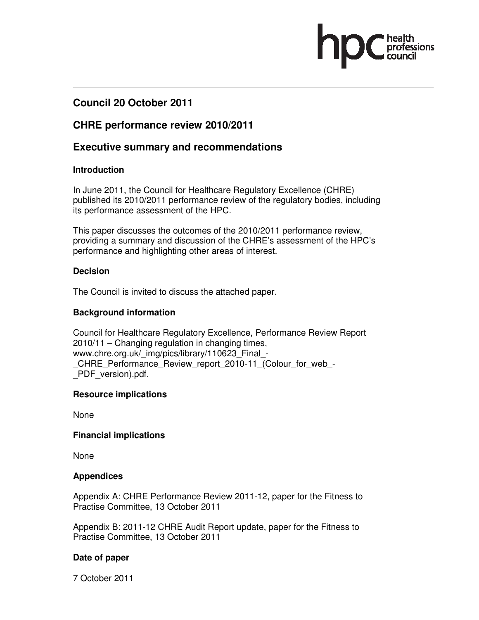# **Council 20 October 2011**

## **CHRE performance review 2010/2011**

## **Executive summary and recommendations**

## **Introduction**

In June 2011, the Council for Healthcare Regulatory Excellence (CHRE) published its 2010/2011 performance review of the regulatory bodies, including its performance assessment of the HPC.

This paper discusses the outcomes of the 2010/2011 performance review, providing a summary and discussion of the CHRE's assessment of the HPC's performance and highlighting other areas of interest.

## **Decision**

The Council is invited to discuss the attached paper.

## **Background information**

Council for Healthcare Regulatory Excellence, Performance Review Report 2010/11 – Changing regulation in changing times, www.chre.org.uk/ img/pics/library/110623 Final -CHRE\_Performance\_Review\_report\_2010-11\_(Colour\_for\_web\_-\_PDF\_version).pdf.

## **Resource implications**

None

### **Financial implications**

None

### **Appendices**

Appendix A: CHRE Performance Review 2011-12, paper for the Fitness to Practise Committee, 13 October 2011

Appendix B: 2011-12 CHRE Audit Report update, paper for the Fitness to Practise Committee, 13 October 2011

### **Date of paper**

7 October 2011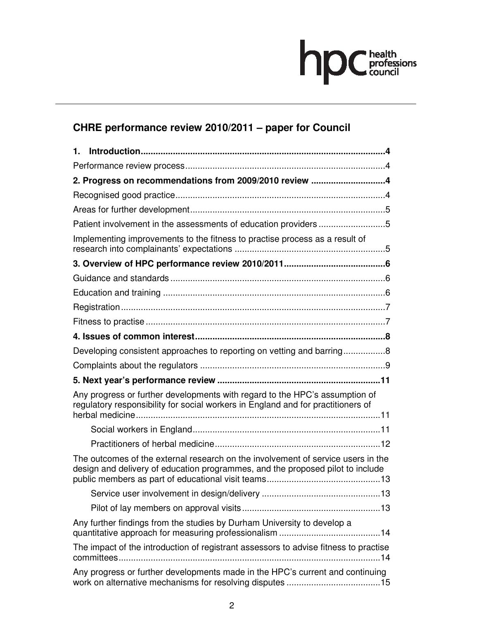

# **CHRE performance review 2010/2011 – paper for Council**

| 1.                                                                                                                                                                 |  |
|--------------------------------------------------------------------------------------------------------------------------------------------------------------------|--|
|                                                                                                                                                                    |  |
| 2. Progress on recommendations from 2009/2010 review 4                                                                                                             |  |
|                                                                                                                                                                    |  |
|                                                                                                                                                                    |  |
| Patient involvement in the assessments of education providers 5                                                                                                    |  |
| Implementing improvements to the fitness to practise process as a result of                                                                                        |  |
|                                                                                                                                                                    |  |
|                                                                                                                                                                    |  |
|                                                                                                                                                                    |  |
|                                                                                                                                                                    |  |
|                                                                                                                                                                    |  |
|                                                                                                                                                                    |  |
| Developing consistent approaches to reporting on vetting and barring8                                                                                              |  |
|                                                                                                                                                                    |  |
|                                                                                                                                                                    |  |
| Any progress or further developments with regard to the HPC's assumption of<br>regulatory responsibility for social workers in England and for practitioners of    |  |
|                                                                                                                                                                    |  |
|                                                                                                                                                                    |  |
| The outcomes of the external research on the involvement of service users in the<br>design and delivery of education programmes, and the proposed pilot to include |  |
|                                                                                                                                                                    |  |
|                                                                                                                                                                    |  |
| Any further findings from the studies by Durham University to develop a                                                                                            |  |
| The impact of the introduction of registrant assessors to advise fitness to practise                                                                               |  |
| Any progress or further developments made in the HPC's current and continuing                                                                                      |  |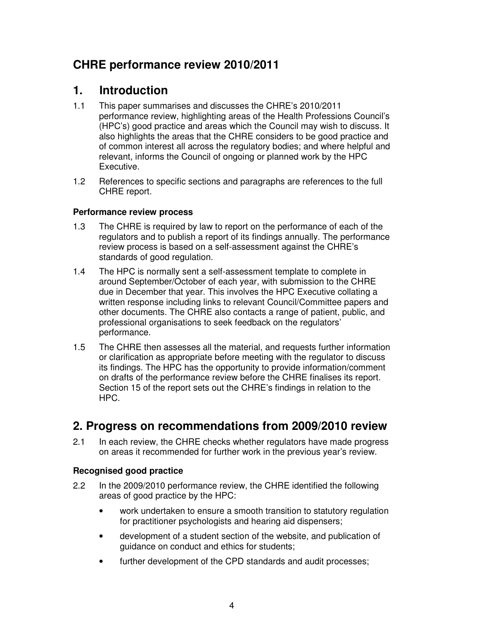# **CHRE performance review 2010/2011**

# **1. Introduction**

- 1.1 This paper summarises and discusses the CHRE's 2010/2011 performance review, highlighting areas of the Health Professions Council's (HPC's) good practice and areas which the Council may wish to discuss. It also highlights the areas that the CHRE considers to be good practice and of common interest all across the regulatory bodies; and where helpful and relevant, informs the Council of ongoing or planned work by the HPC Executive.
- 1.2 References to specific sections and paragraphs are references to the full CHRE report.

## **Performance review process**

- 1.3 The CHRE is required by law to report on the performance of each of the regulators and to publish a report of its findings annually. The performance review process is based on a self-assessment against the CHRE's standards of good regulation.
- 1.4 The HPC is normally sent a self-assessment template to complete in around September/October of each year, with submission to the CHRE due in December that year. This involves the HPC Executive collating a written response including links to relevant Council/Committee papers and other documents. The CHRE also contacts a range of patient, public, and professional organisations to seek feedback on the regulators' performance.
- 1.5 The CHRE then assesses all the material, and requests further information or clarification as appropriate before meeting with the regulator to discuss its findings. The HPC has the opportunity to provide information/comment on drafts of the performance review before the CHRE finalises its report. Section 15 of the report sets out the CHRE's findings in relation to the HPC.

# **2. Progress on recommendations from 2009/2010 review**

2.1 In each review, the CHRE checks whether regulators have made progress on areas it recommended for further work in the previous year's review.

## **Recognised good practice**

- 2.2 In the 2009/2010 performance review, the CHRE identified the following areas of good practice by the HPC:
	- work undertaken to ensure a smooth transition to statutory regulation for practitioner psychologists and hearing aid dispensers;
	- development of a student section of the website, and publication of guidance on conduct and ethics for students;
	- further development of the CPD standards and audit processes;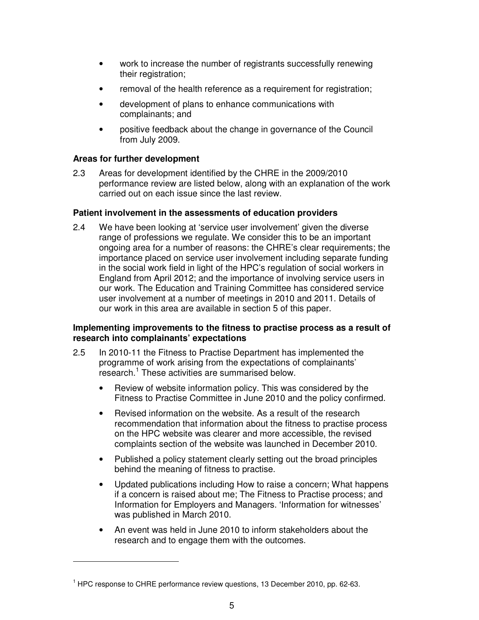- work to increase the number of registrants successfully renewing their registration;
- removal of the health reference as a requirement for registration;
- development of plans to enhance communications with complainants; and
- positive feedback about the change in governance of the Council from July 2009.

### **Areas for further development**

 $\overline{a}$ 

2.3 Areas for development identified by the CHRE in the 2009/2010 performance review are listed below, along with an explanation of the work carried out on each issue since the last review.

### **Patient involvement in the assessments of education providers**

2.4 We have been looking at 'service user involvement' given the diverse range of professions we regulate. We consider this to be an important ongoing area for a number of reasons: the CHRE's clear requirements; the importance placed on service user involvement including separate funding in the social work field in light of the HPC's regulation of social workers in England from April 2012; and the importance of involving service users in our work. The Education and Training Committee has considered service user involvement at a number of meetings in 2010 and 2011. Details of our work in this area are available in section 5 of this paper.

### **Implementing improvements to the fitness to practise process as a result of research into complainants' expectations**

- 2.5 In 2010-11 the Fitness to Practise Department has implemented the programme of work arising from the expectations of complainants' research.<sup>1</sup> These activities are summarised below.
	- Review of website information policy. This was considered by the Fitness to Practise Committee in June 2010 and the policy confirmed.
	- Revised information on the website. As a result of the research recommendation that information about the fitness to practise process on the HPC website was clearer and more accessible, the revised complaints section of the website was launched in December 2010.
	- Published a policy statement clearly setting out the broad principles behind the meaning of fitness to practise.
	- Updated publications including How to raise a concern; What happens if a concern is raised about me; The Fitness to Practise process; and Information for Employers and Managers. 'Information for witnesses' was published in March 2010.
	- An event was held in June 2010 to inform stakeholders about the research and to engage them with the outcomes.

<sup>&</sup>lt;sup>1</sup> HPC response to CHRE performance review questions, 13 December 2010, pp. 62-63.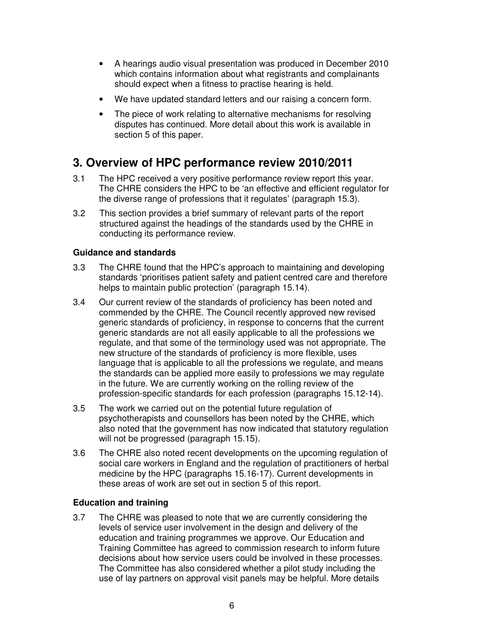- A hearings audio visual presentation was produced in December 2010 which contains information about what registrants and complainants should expect when a fitness to practise hearing is held.
- We have updated standard letters and our raising a concern form.
- The piece of work relating to alternative mechanisms for resolving disputes has continued. More detail about this work is available in section 5 of this paper.

# **3. Overview of HPC performance review 2010/2011**

- 3.1 The HPC received a very positive performance review report this year. The CHRE considers the HPC to be 'an effective and efficient regulator for the diverse range of professions that it regulates' (paragraph 15.3).
- 3.2 This section provides a brief summary of relevant parts of the report structured against the headings of the standards used by the CHRE in conducting its performance review.

### **Guidance and standards**

- 3.3 The CHRE found that the HPC's approach to maintaining and developing standards 'prioritises patient safety and patient centred care and therefore helps to maintain public protection' (paragraph 15.14).
- 3.4 Our current review of the standards of proficiency has been noted and commended by the CHRE. The Council recently approved new revised generic standards of proficiency, in response to concerns that the current generic standards are not all easily applicable to all the professions we regulate, and that some of the terminology used was not appropriate. The new structure of the standards of proficiency is more flexible, uses language that is applicable to all the professions we regulate, and means the standards can be applied more easily to professions we may regulate in the future. We are currently working on the rolling review of the profession-specific standards for each profession (paragraphs 15.12-14).
- 3.5 The work we carried out on the potential future regulation of psychotherapists and counsellors has been noted by the CHRE, which also noted that the government has now indicated that statutory regulation will not be progressed (paragraph 15.15).
- 3.6 The CHRE also noted recent developments on the upcoming regulation of social care workers in England and the regulation of practitioners of herbal medicine by the HPC (paragraphs 15.16-17). Current developments in these areas of work are set out in section 5 of this report.

### **Education and training**

3.7 The CHRE was pleased to note that we are currently considering the levels of service user involvement in the design and delivery of the education and training programmes we approve. Our Education and Training Committee has agreed to commission research to inform future decisions about how service users could be involved in these processes. The Committee has also considered whether a pilot study including the use of lay partners on approval visit panels may be helpful. More details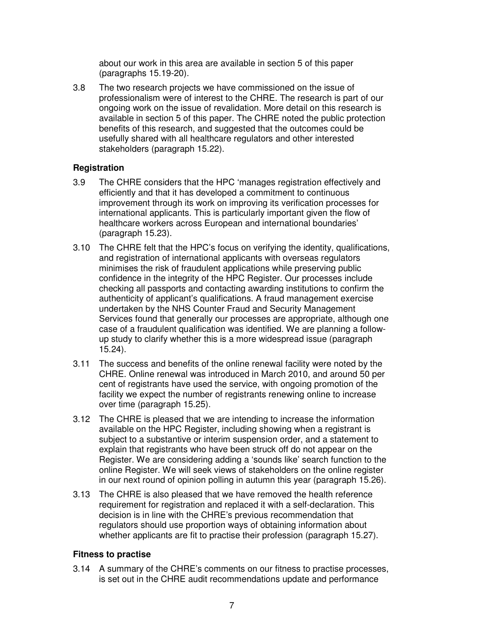about our work in this area are available in section 5 of this paper (paragraphs 15.19-20).

3.8 The two research projects we have commissioned on the issue of professionalism were of interest to the CHRE. The research is part of our ongoing work on the issue of revalidation. More detail on this research is available in section 5 of this paper. The CHRE noted the public protection benefits of this research, and suggested that the outcomes could be usefully shared with all healthcare regulators and other interested stakeholders (paragraph 15.22).

#### **Registration**

- 3.9 The CHRE considers that the HPC 'manages registration effectively and efficiently and that it has developed a commitment to continuous improvement through its work on improving its verification processes for international applicants. This is particularly important given the flow of healthcare workers across European and international boundaries' (paragraph 15.23).
- 3.10 The CHRE felt that the HPC's focus on verifying the identity, qualifications, and registration of international applicants with overseas regulators minimises the risk of fraudulent applications while preserving public confidence in the integrity of the HPC Register. Our processes include checking all passports and contacting awarding institutions to confirm the authenticity of applicant's qualifications. A fraud management exercise undertaken by the NHS Counter Fraud and Security Management Services found that generally our processes are appropriate, although one case of a fraudulent qualification was identified. We are planning a followup study to clarify whether this is a more widespread issue (paragraph 15.24).
- 3.11 The success and benefits of the online renewal facility were noted by the CHRE. Online renewal was introduced in March 2010, and around 50 per cent of registrants have used the service, with ongoing promotion of the facility we expect the number of registrants renewing online to increase over time (paragraph 15.25).
- 3.12 The CHRE is pleased that we are intending to increase the information available on the HPC Register, including showing when a registrant is subject to a substantive or interim suspension order, and a statement to explain that registrants who have been struck off do not appear on the Register. We are considering adding a 'sounds like' search function to the online Register. We will seek views of stakeholders on the online register in our next round of opinion polling in autumn this year (paragraph 15.26).
- 3.13 The CHRE is also pleased that we have removed the health reference requirement for registration and replaced it with a self-declaration. This decision is in line with the CHRE's previous recommendation that regulators should use proportion ways of obtaining information about whether applicants are fit to practise their profession (paragraph 15.27).

#### **Fitness to practise**

3.14 A summary of the CHRE's comments on our fitness to practise processes, is set out in the CHRE audit recommendations update and performance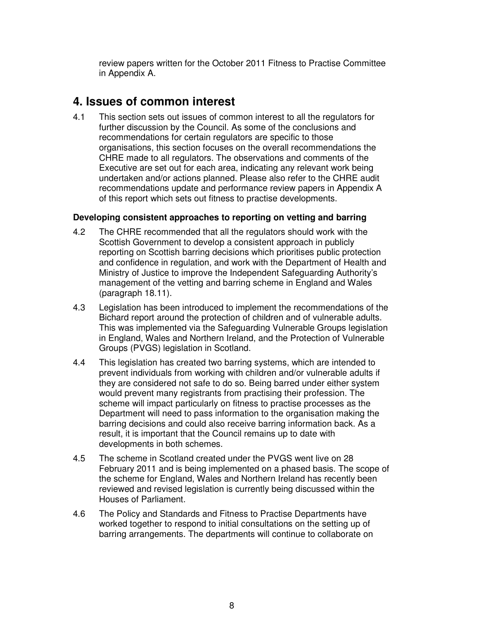review papers written for the October 2011 Fitness to Practise Committee in Appendix A.

# **4. Issues of common interest**

4.1 This section sets out issues of common interest to all the regulators for further discussion by the Council. As some of the conclusions and recommendations for certain regulators are specific to those organisations, this section focuses on the overall recommendations the CHRE made to all regulators. The observations and comments of the Executive are set out for each area, indicating any relevant work being undertaken and/or actions planned. Please also refer to the CHRE audit recommendations update and performance review papers in Appendix A of this report which sets out fitness to practise developments.

### **Developing consistent approaches to reporting on vetting and barring**

- 4.2 The CHRE recommended that all the regulators should work with the Scottish Government to develop a consistent approach in publicly reporting on Scottish barring decisions which prioritises public protection and confidence in regulation, and work with the Department of Health and Ministry of Justice to improve the Independent Safeguarding Authority's management of the vetting and barring scheme in England and Wales (paragraph 18.11).
- 4.3 Legislation has been introduced to implement the recommendations of the Bichard report around the protection of children and of vulnerable adults. This was implemented via the Safeguarding Vulnerable Groups legislation in England, Wales and Northern Ireland, and the Protection of Vulnerable Groups (PVGS) legislation in Scotland.
- 4.4 This legislation has created two barring systems, which are intended to prevent individuals from working with children and/or vulnerable adults if they are considered not safe to do so. Being barred under either system would prevent many registrants from practising their profession. The scheme will impact particularly on fitness to practise processes as the Department will need to pass information to the organisation making the barring decisions and could also receive barring information back. As a result, it is important that the Council remains up to date with developments in both schemes.
- 4.5 The scheme in Scotland created under the PVGS went live on 28 February 2011 and is being implemented on a phased basis. The scope of the scheme for England, Wales and Northern Ireland has recently been reviewed and revised legislation is currently being discussed within the Houses of Parliament.
- 4.6 The Policy and Standards and Fitness to Practise Departments have worked together to respond to initial consultations on the setting up of barring arrangements. The departments will continue to collaborate on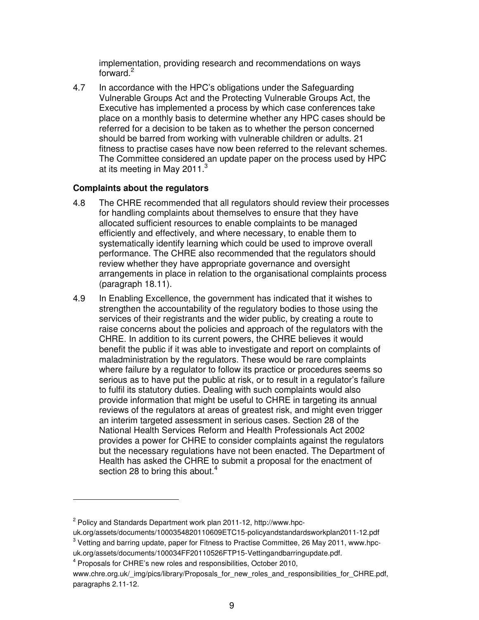implementation, providing research and recommendations on ways forward. $2$ 

4.7 In accordance with the HPC's obligations under the Safeguarding Vulnerable Groups Act and the Protecting Vulnerable Groups Act, the Executive has implemented a process by which case conferences take place on a monthly basis to determine whether any HPC cases should be referred for a decision to be taken as to whether the person concerned should be barred from working with vulnerable children or adults. 21 fitness to practise cases have now been referred to the relevant schemes. The Committee considered an update paper on the process used by HPC at its meeting in May 2011. $3$ 

#### **Complaints about the regulators**

- 4.8 The CHRE recommended that all regulators should review their processes for handling complaints about themselves to ensure that they have allocated sufficient resources to enable complaints to be managed efficiently and effectively, and where necessary, to enable them to systematically identify learning which could be used to improve overall performance. The CHRE also recommended that the regulators should review whether they have appropriate governance and oversight arrangements in place in relation to the organisational complaints process (paragraph 18.11).
- 4.9 In Enabling Excellence, the government has indicated that it wishes to strengthen the accountability of the regulatory bodies to those using the services of their registrants and the wider public, by creating a route to raise concerns about the policies and approach of the regulators with the CHRE. In addition to its current powers, the CHRE believes it would benefit the public if it was able to investigate and report on complaints of maladministration by the regulators. These would be rare complaints where failure by a regulator to follow its practice or procedures seems so serious as to have put the public at risk, or to result in a regulator's failure to fulfil its statutory duties. Dealing with such complaints would also provide information that might be useful to CHRE in targeting its annual reviews of the regulators at areas of greatest risk, and might even trigger an interim targeted assessment in serious cases. Section 28 of the National Health Services Reform and Health Professionals Act 2002 provides a power for CHRE to consider complaints against the regulators but the necessary regulations have not been enacted. The Department of Health has asked the CHRE to submit a proposal for the enactment of section 28 to bring this about. $4$

 $\overline{a}$ 

<sup>&</sup>lt;sup>2</sup> Policy and Standards Department work plan 2011-12, http://www.hpc-

uk.org/assets/documents/1000354820110609ETC15-policyandstandardsworkplan2011-12.pdf  $3$  Vetting and barring update, paper for Fitness to Practise Committee, 26 May 2011, www.hpc-

uk.org/assets/documents/100034FF20110526FTP15-Vettingandbarringupdate.pdf.

<sup>&</sup>lt;sup>4</sup> Proposals for CHRE's new roles and responsibilities, October 2010,

www.chre.org.uk/\_img/pics/library/Proposals\_for\_new\_roles\_and\_responsibilities\_for\_CHRE.pdf, paragraphs 2.11-12.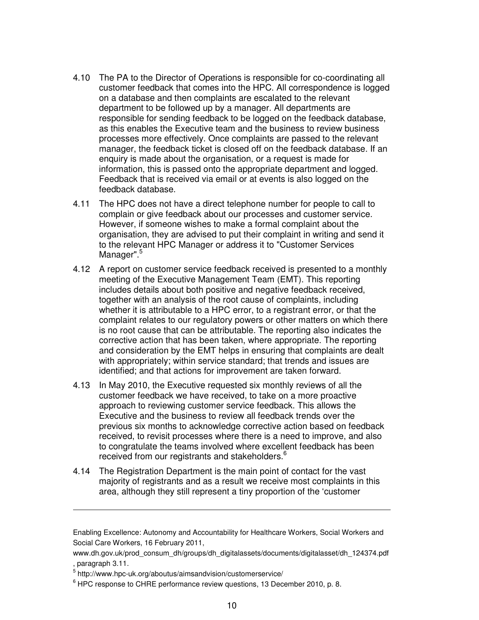- 4.10 The PA to the Director of Operations is responsible for co-coordinating all customer feedback that comes into the HPC. All correspondence is logged on a database and then complaints are escalated to the relevant department to be followed up by a manager. All departments are responsible for sending feedback to be logged on the feedback database, as this enables the Executive team and the business to review business processes more effectively. Once complaints are passed to the relevant manager, the feedback ticket is closed off on the feedback database. If an enquiry is made about the organisation, or a request is made for information, this is passed onto the appropriate department and logged. Feedback that is received via email or at events is also logged on the feedback database.
- 4.11 The HPC does not have a direct telephone number for people to call to complain or give feedback about our processes and customer service. However, if someone wishes to make a formal complaint about the organisation, they are advised to put their complaint in writing and send it to the relevant HPC Manager or address it to "Customer Services Manager".<sup>5</sup>
- 4.12 A report on customer service feedback received is presented to a monthly meeting of the Executive Management Team (EMT). This reporting includes details about both positive and negative feedback received, together with an analysis of the root cause of complaints, including whether it is attributable to a HPC error, to a registrant error, or that the complaint relates to our regulatory powers or other matters on which there is no root cause that can be attributable. The reporting also indicates the corrective action that has been taken, where appropriate. The reporting and consideration by the EMT helps in ensuring that complaints are dealt with appropriately; within service standard; that trends and issues are identified; and that actions for improvement are taken forward.
- 4.13 In May 2010, the Executive requested six monthly reviews of all the customer feedback we have received, to take on a more proactive approach to reviewing customer service feedback. This allows the Executive and the business to review all feedback trends over the previous six months to acknowledge corrective action based on feedback received, to revisit processes where there is a need to improve, and also to congratulate the teams involved where excellent feedback has been received from our registrants and stakeholders.<sup>6</sup>
- 4.14 The Registration Department is the main point of contact for the vast majority of registrants and as a result we receive most complaints in this area, although they still represent a tiny proportion of the 'customer

 $\overline{a}$ 

Enabling Excellence: Autonomy and Accountability for Healthcare Workers, Social Workers and Social Care Workers, 16 February 2011,

www.dh.gov.uk/prod\_consum\_dh/groups/dh\_digitalassets/documents/digitalasset/dh\_124374.pdf , paragraph 3.11.

<sup>5</sup> http://www.hpc-uk.org/aboutus/aimsandvision/customerservice/

 $6$  HPC response to CHRE performance review questions, 13 December 2010, p. 8.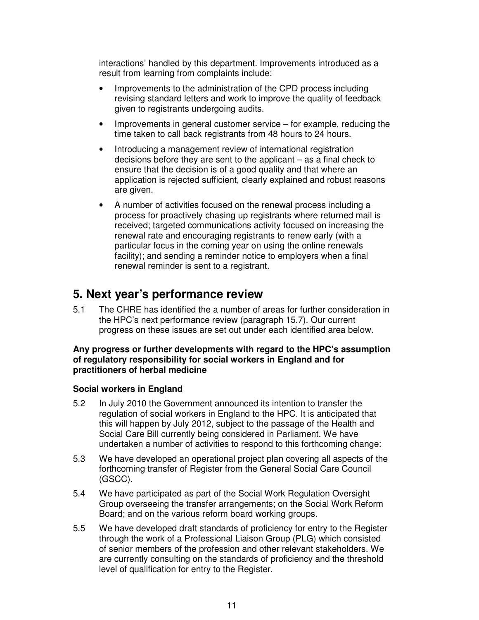interactions' handled by this department. Improvements introduced as a result from learning from complaints include:

- Improvements to the administration of the CPD process including revising standard letters and work to improve the quality of feedback given to registrants undergoing audits.
- Improvements in general customer service for example, reducing the time taken to call back registrants from 48 hours to 24 hours.
- Introducing a management review of international registration decisions before they are sent to the applicant – as a final check to ensure that the decision is of a good quality and that where an application is rejected sufficient, clearly explained and robust reasons are given.
- A number of activities focused on the renewal process including a process for proactively chasing up registrants where returned mail is received; targeted communications activity focused on increasing the renewal rate and encouraging registrants to renew early (with a particular focus in the coming year on using the online renewals facility); and sending a reminder notice to employers when a final renewal reminder is sent to a registrant.

# **5. Next year's performance review**

5.1 The CHRE has identified the a number of areas for further consideration in the HPC's next performance review (paragraph 15.7). Our current progress on these issues are set out under each identified area below.

#### **Any progress or further developments with regard to the HPC's assumption of regulatory responsibility for social workers in England and for practitioners of herbal medicine**

#### **Social workers in England**

- 5.2 In July 2010 the Government announced its intention to transfer the regulation of social workers in England to the HPC. It is anticipated that this will happen by July 2012, subject to the passage of the Health and Social Care Bill currently being considered in Parliament. We have undertaken a number of activities to respond to this forthcoming change:
- 5.3 We have developed an operational project plan covering all aspects of the forthcoming transfer of Register from the General Social Care Council (GSCC).
- 5.4 We have participated as part of the Social Work Regulation Oversight Group overseeing the transfer arrangements; on the Social Work Reform Board; and on the various reform board working groups.
- 5.5 We have developed draft standards of proficiency for entry to the Register through the work of a Professional Liaison Group (PLG) which consisted of senior members of the profession and other relevant stakeholders. We are currently consulting on the standards of proficiency and the threshold level of qualification for entry to the Register.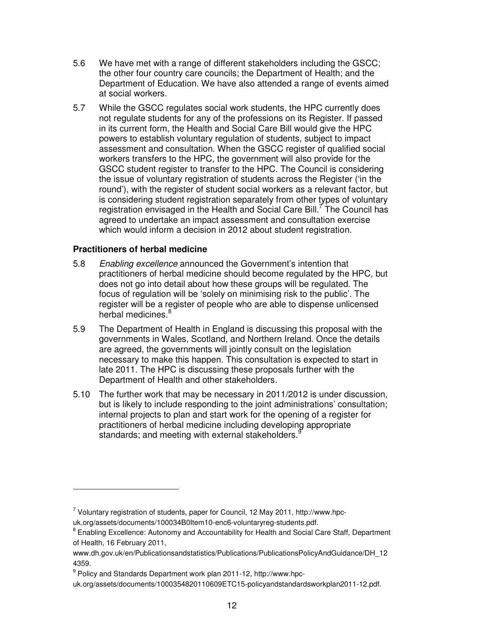- 5.6 We have met with a range of different stakeholders including the GSCC; the other four country care councils; the Department of Health; and the Department of Education. We have also attended a range of events aimed at social workers.
- 5.7 While the GSCC regulates social work students, the HPC currently does not regulate students for any of the professions on its Register. If passed in its current form, the Health and Social Care Bill would give the HPC powers to establish voluntary regulation of students, subject to impact assessment and consultation. When the GSCC register of qualified social workers transfers to the HPC, the government will also provide for the GSCC student register to transfer to the HPC. The Council is considering the issue of voluntary registration of students across the Register ('in the round'), with the register of student social workers as a relevant factor, but is considering student registration separately from other types of voluntary registration envisaged in the Health and Social Care Bill.<sup>7</sup> The Council has agreed to undertake an impact assessment and consultation exercise which would inform a decision in 2012 about student registration.

#### **Practitioners of herbal medicine**

 $\overline{a}$ 

- 5.8 Enabling excellence announced the Government's intention that practitioners of herbal medicine should become regulated by the HPC, but does not go into detail about how these groups will be regulated. The focus of regulation will be 'solely on minimising risk to the public'. The register will be a register of people who are able to dispense unlicensed herbal medicines.<sup>8</sup>
- 5.9 The Department of Health in England is discussing this proposal with the governments in Wales, Scotland, and Northern Ireland. Once the details are agreed, the governments will jointly consult on the legislation necessary to make this happen. This consultation is expected to start in late 2011. The HPC is discussing these proposals further with the Department of Health and other stakeholders.
- 5.10 The further work that may be necessary in 2011/2012 is under discussion, but is likely to include responding to the joint administrations' consultation; internal projects to plan and start work for the opening of a register for practitioners of herbal medicine including developing appropriate standards; and meeting with external stakeholders.<sup>9</sup>

 $^7$  Voluntary registration of students, paper for Council, 12 May 2011, http://www.hpc-

uk.org/assets/documents/100034B0Item10-enc6-voluntaryreg-students.pdf.

<sup>&</sup>lt;sup>8</sup> Enabling Excellence: Autonomy and Accountability for Health and Social Care Staff, Department of Health, 16 February 2011,

www.dh.gov.uk/en/Publicationsandstatistics/Publications/PublicationsPolicyAndGuidance/DH\_12 4359.

<sup>&</sup>lt;sup>9</sup> Policy and Standards Department work plan 2011-12, http://www.hpc-

uk.org/assets/documents/1000354820110609ETC15-policyandstandardsworkplan2011-12.pdf.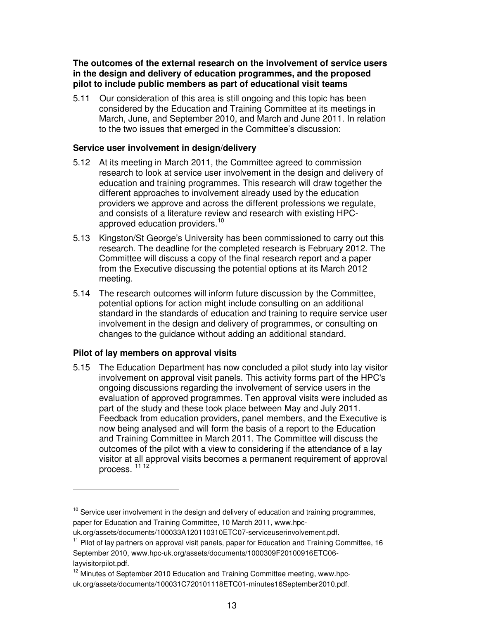**The outcomes of the external research on the involvement of service users in the design and delivery of education programmes, and the proposed pilot to include public members as part of educational visit teams** 

5.11 Our consideration of this area is still ongoing and this topic has been considered by the Education and Training Committee at its meetings in March, June, and September 2010, and March and June 2011. In relation to the two issues that emerged in the Committee's discussion:

#### **Service user involvement in design/delivery**

- 5.12 At its meeting in March 2011, the Committee agreed to commission research to look at service user involvement in the design and delivery of education and training programmes. This research will draw together the different approaches to involvement already used by the education providers we approve and across the different professions we regulate, and consists of a literature review and research with existing HPCapproved education providers.<sup>10</sup>
- 5.13 Kingston/St George's University has been commissioned to carry out this research. The deadline for the completed research is February 2012. The Committee will discuss a copy of the final research report and a paper from the Executive discussing the potential options at its March 2012 meeting.
- 5.14 The research outcomes will inform future discussion by the Committee, potential options for action might include consulting on an additional standard in the standards of education and training to require service user involvement in the design and delivery of programmes, or consulting on changes to the guidance without adding an additional standard.

## **Pilot of lay members on approval visits**

 $\overline{a}$ 

5.15 The Education Department has now concluded a pilot study into lay visitor involvement on approval visit panels. This activity forms part of the HPC's ongoing discussions regarding the involvement of service users in the evaluation of approved programmes. Ten approval visits were included as part of the study and these took place between May and July 2011. Feedback from education providers, panel members, and the Executive is now being analysed and will form the basis of a report to the Education and Training Committee in March 2011. The Committee will discuss the outcomes of the pilot with a view to considering if the attendance of a lay visitor at all approval visits becomes a permanent requirement of approval process.<sup>11 12</sup>

 $10$  Service user involvement in the design and delivery of education and training programmes, paper for Education and Training Committee, 10 March 2011, www.hpc-

uk.org/assets/documents/100033A120110310ETC07-serviceuserinvolvement.pdf.

<sup>&</sup>lt;sup>11</sup> Pilot of lay partners on approval visit panels, paper for Education and Training Committee, 16 September 2010, www.hpc-uk.org/assets/documents/1000309F20100916ETC06 layvisitorpilot.pdf.

 $12$  Minutes of September 2010 Education and Training Committee meeting, www.hpcuk.org/assets/documents/100031C720101118ETC01-minutes16September2010.pdf.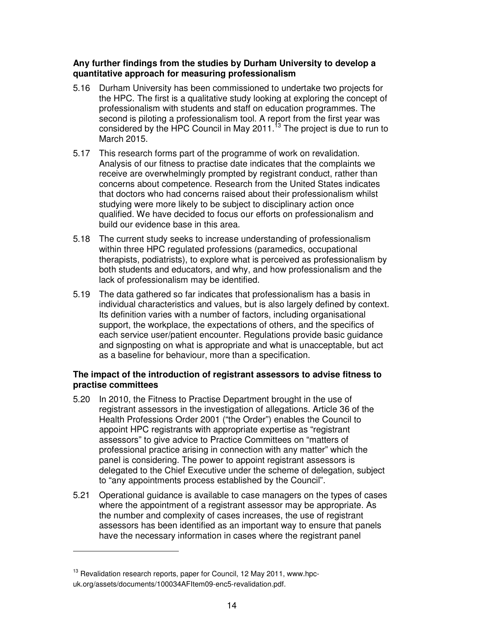### **Any further findings from the studies by Durham University to develop a quantitative approach for measuring professionalism**

- 5.16 Durham University has been commissioned to undertake two projects for the HPC. The first is a qualitative study looking at exploring the concept of professionalism with students and staff on education programmes. The second is piloting a professionalism tool. A report from the first year was considered by the HPC Council in May 2011. $\frac{13}{13}$  The project is due to run to March 2015.
- 5.17 This research forms part of the programme of work on revalidation. Analysis of our fitness to practise date indicates that the complaints we receive are overwhelmingly prompted by registrant conduct, rather than concerns about competence. Research from the United States indicates that doctors who had concerns raised about their professionalism whilst studying were more likely to be subject to disciplinary action once qualified. We have decided to focus our efforts on professionalism and build our evidence base in this area.
- 5.18 The current study seeks to increase understanding of professionalism within three HPC regulated professions (paramedics, occupational therapists, podiatrists), to explore what is perceived as professionalism by both students and educators, and why, and how professionalism and the lack of professionalism may be identified.
- 5.19 The data gathered so far indicates that professionalism has a basis in individual characteristics and values, but is also largely defined by context. Its definition varies with a number of factors, including organisational support, the workplace, the expectations of others, and the specifics of each service user/patient encounter. Regulations provide basic guidance and signposting on what is appropriate and what is unacceptable, but act as a baseline for behaviour, more than a specification.

### **The impact of the introduction of registrant assessors to advise fitness to practise committees**

- 5.20 In 2010, the Fitness to Practise Department brought in the use of registrant assessors in the investigation of allegations. Article 36 of the Health Professions Order 2001 ("the Order") enables the Council to appoint HPC registrants with appropriate expertise as "registrant assessors" to give advice to Practice Committees on "matters of professional practice arising in connection with any matter" which the panel is considering. The power to appoint registrant assessors is delegated to the Chief Executive under the scheme of delegation, subject to "any appointments process established by the Council".
- 5.21 Operational guidance is available to case managers on the types of cases where the appointment of a registrant assessor may be appropriate. As the number and complexity of cases increases, the use of registrant assessors has been identified as an important way to ensure that panels have the necessary information in cases where the registrant panel

 $\overline{a}$ 

 $13$  Revalidation research reports, paper for Council, 12 May 2011, www.hpcuk.org/assets/documents/100034AFItem09-enc5-revalidation.pdf.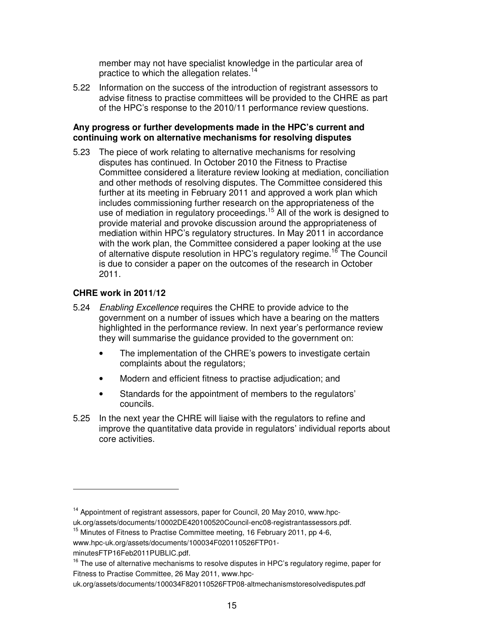member may not have specialist knowledge in the particular area of practice to which the allegation relates.<sup>14</sup>

5.22 Information on the success of the introduction of registrant assessors to advise fitness to practise committees will be provided to the CHRE as part of the HPC's response to the 2010/11 performance review questions.

#### **Any progress or further developments made in the HPC's current and continuing work on alternative mechanisms for resolving disputes**

5.23 The piece of work relating to alternative mechanisms for resolving disputes has continued. In October 2010 the Fitness to Practise Committee considered a literature review looking at mediation, conciliation and other methods of resolving disputes. The Committee considered this further at its meeting in February 2011 and approved a work plan which includes commissioning further research on the appropriateness of the use of mediation in regulatory proceedings.<sup>15</sup> All of the work is designed to provide material and provoke discussion around the appropriateness of mediation within HPC's regulatory structures. In May 2011 in accordance with the work plan, the Committee considered a paper looking at the use of alternative dispute resolution in HPC's regulatory regime.<sup>16</sup> The Council is due to consider a paper on the outcomes of the research in October 2011.

### **CHRE work in 2011/12**

- 5.24 Enabling Excellence requires the CHRE to provide advice to the government on a number of issues which have a bearing on the matters highlighted in the performance review. In next year's performance review they will summarise the guidance provided to the government on:
	- The implementation of the CHRE's powers to investigate certain complaints about the regulators;
	- Modern and efficient fitness to practise adjudication; and
	- Standards for the appointment of members to the regulators' councils.
- 5.25 In the next year the CHRE will liaise with the regulators to refine and improve the quantitative data provide in regulators' individual reports about core activities.

 $\overline{a}$ 

 $14$  Appointment of registrant assessors, paper for Council, 20 May 2010, www.hpcuk.org/assets/documents/10002DE420100520Council-enc08-registrantassessors.pdf.

<sup>&</sup>lt;sup>15</sup> Minutes of Fitness to Practise Committee meeting, 16 February 2011, pp 4-6,

www.hpc-uk.org/assets/documents/100034F020110526FTP01-

minutesFTP16Feb2011PUBLIC.pdf.

 $16$  The use of alternative mechanisms to resolve disputes in HPC's regulatory regime, paper for Fitness to Practise Committee, 26 May 2011, www.hpc-

uk.org/assets/documents/100034F820110526FTP08-altmechanismstoresolvedisputes.pdf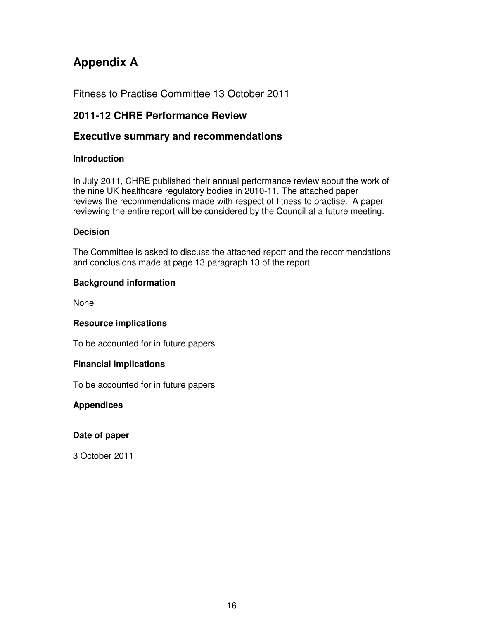# **Appendix A**

Fitness to Practise Committee 13 October 2011

# **2011-12 CHRE Performance Review**

## **Executive summary and recommendations**

## **Introduction**

In July 2011, CHRE published their annual performance review about the work of the nine UK healthcare regulatory bodies in 2010-11. The attached paper reviews the recommendations made with respect of fitness to practise. A paper reviewing the entire report will be considered by the Council at a future meeting.

## **Decision**

The Committee is asked to discuss the attached report and the recommendations and conclusions made at page 13 paragraph 13 of the report.

## **Background information**

None

## **Resource implications**

To be accounted for in future papers

## **Financial implications**

To be accounted for in future papers

## **Appendices**

## **Date of paper**

3 October 2011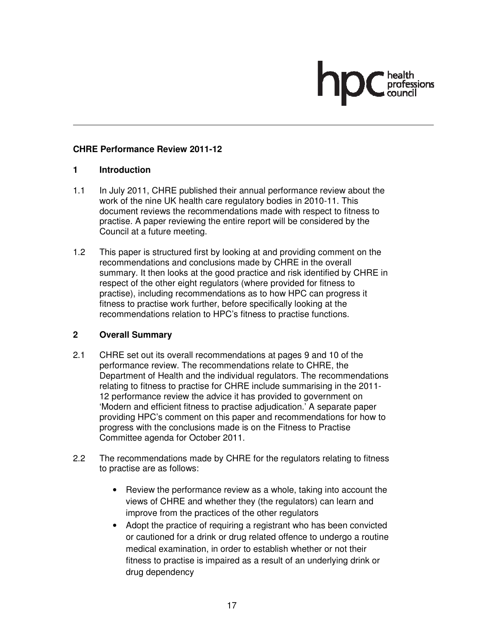## **CHRE Performance Review 2011-12**

## **1 Introduction**

- 1.1 In July 2011, CHRE published their annual performance review about the work of the nine UK health care regulatory bodies in 2010-11. This document reviews the recommendations made with respect to fitness to practise. A paper reviewing the entire report will be considered by the Council at a future meeting.
- 1.2 This paper is structured first by looking at and providing comment on the recommendations and conclusions made by CHRE in the overall summary. It then looks at the good practice and risk identified by CHRE in respect of the other eight regulators (where provided for fitness to practise), including recommendations as to how HPC can progress it fitness to practise work further, before specifically looking at the recommendations relation to HPC's fitness to practise functions.

## **2 Overall Summary**

- 2.1 CHRE set out its overall recommendations at pages 9 and 10 of the performance review. The recommendations relate to CHRE, the Department of Health and the individual regulators. The recommendations relating to fitness to practise for CHRE include summarising in the 2011- 12 performance review the advice it has provided to government on 'Modern and efficient fitness to practise adjudication.' A separate paper providing HPC's comment on this paper and recommendations for how to progress with the conclusions made is on the Fitness to Practise Committee agenda for October 2011.
- 2.2 The recommendations made by CHRE for the regulators relating to fitness to practise are as follows:
	- Review the performance review as a whole, taking into account the views of CHRE and whether they (the regulators) can learn and improve from the practices of the other regulators
	- Adopt the practice of requiring a registrant who has been convicted or cautioned for a drink or drug related offence to undergo a routine medical examination, in order to establish whether or not their fitness to practise is impaired as a result of an underlying drink or drug dependency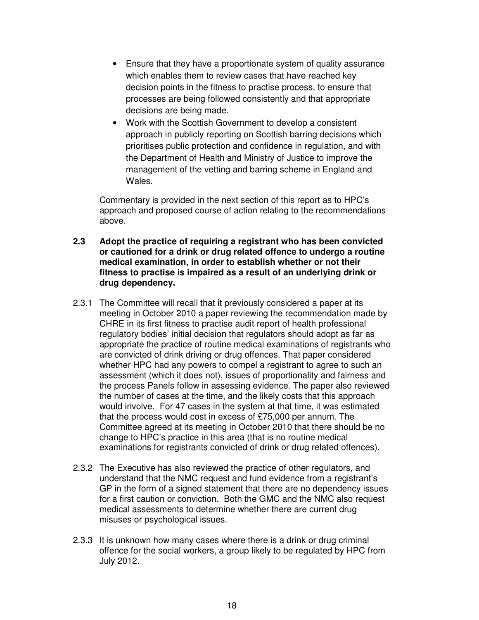- Ensure that they have a proportionate system of quality assurance which enables them to review cases that have reached key decision points in the fitness to practise process, to ensure that processes are being followed consistently and that appropriate decisions are being made.
- Work with the Scottish Government to develop a consistent approach in publicly reporting on Scottish barring decisions which prioritises public protection and confidence in regulation, and with the Department of Health and Ministry of Justice to improve the management of the vetting and barring scheme in England and Wales.

Commentary is provided in the next section of this report as to HPC's approach and proposed course of action relating to the recommendations above.

- **2.3 Adopt the practice of requiring a registrant who has been convicted or cautioned for a drink or drug related offence to undergo a routine medical examination, in order to establish whether or not their fitness to practise is impaired as a result of an underlying drink or drug dependency.**
- 2.3.1 The Committee will recall that it previously considered a paper at its meeting in October 2010 a paper reviewing the recommendation made by CHRE in its first fitness to practise audit report of health professional regulatory bodies' initial decision that regulators should adopt as far as appropriate the practice of routine medical examinations of registrants who are convicted of drink driving or drug offences. That paper considered whether HPC had any powers to compel a registrant to agree to such an assessment (which it does not), issues of proportionality and fairness and the process Panels follow in assessing evidence. The paper also reviewed the number of cases at the time, and the likely costs that this approach would involve. For 47 cases in the system at that time, it was estimated that the process would cost in excess of £75,000 per annum. The Committee agreed at its meeting in October 2010 that there should be no change to HPC's practice in this area (that is no routine medical examinations for registrants convicted of drink or drug related offences).
- 2.3.2 The Executive has also reviewed the practice of other regulators, and understand that the NMC request and fund evidence from a registrant's GP in the form of a signed statement that there are no dependency issues for a first caution or conviction. Both the GMC and the NMC also request medical assessments to determine whether there are current drug misuses or psychological issues.
- 2.3.3 It is unknown how many cases where there is a drink or drug criminal offence for the social workers, a group likely to be regulated by HPC from July 2012.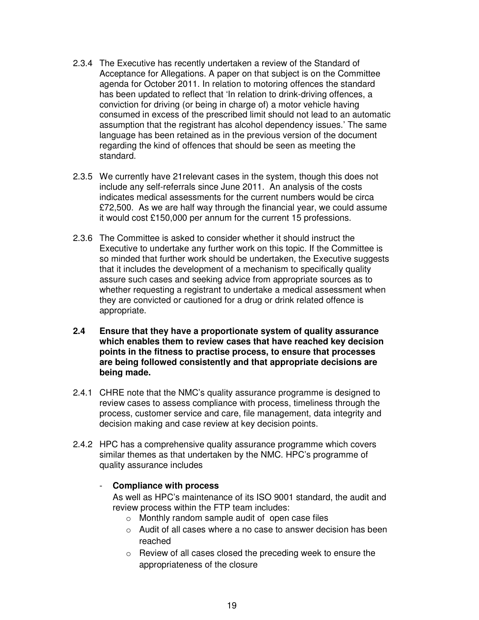- 2.3.4 The Executive has recently undertaken a review of the Standard of Acceptance for Allegations. A paper on that subject is on the Committee agenda for October 2011. In relation to motoring offences the standard has been updated to reflect that 'In relation to drink-driving offences, a conviction for driving (or being in charge of) a motor vehicle having consumed in excess of the prescribed limit should not lead to an automatic assumption that the registrant has alcohol dependency issues.' The same language has been retained as in the previous version of the document regarding the kind of offences that should be seen as meeting the standard.
- 2.3.5 We currently have 21relevant cases in the system, though this does not include any self-referrals since June 2011. An analysis of the costs indicates medical assessments for the current numbers would be circa £72,500. As we are half way through the financial year, we could assume it would cost £150,000 per annum for the current 15 professions.
- 2.3.6 The Committee is asked to consider whether it should instruct the Executive to undertake any further work on this topic. If the Committee is so minded that further work should be undertaken, the Executive suggests that it includes the development of a mechanism to specifically quality assure such cases and seeking advice from appropriate sources as to whether requesting a registrant to undertake a medical assessment when they are convicted or cautioned for a drug or drink related offence is appropriate.
- **2.4 Ensure that they have a proportionate system of quality assurance which enables them to review cases that have reached key decision points in the fitness to practise process, to ensure that processes are being followed consistently and that appropriate decisions are being made.**
- 2.4.1 CHRE note that the NMC's quality assurance programme is designed to review cases to assess compliance with process, timeliness through the process, customer service and care, file management, data integrity and decision making and case review at key decision points.
- 2.4.2 HPC has a comprehensive quality assurance programme which covers similar themes as that undertaken by the NMC. HPC's programme of quality assurance includes

### - **Compliance with process**

As well as HPC's maintenance of its ISO 9001 standard, the audit and review process within the FTP team includes:

- o Monthly random sample audit of open case files
- o Audit of all cases where a no case to answer decision has been reached
- o Review of all cases closed the preceding week to ensure the appropriateness of the closure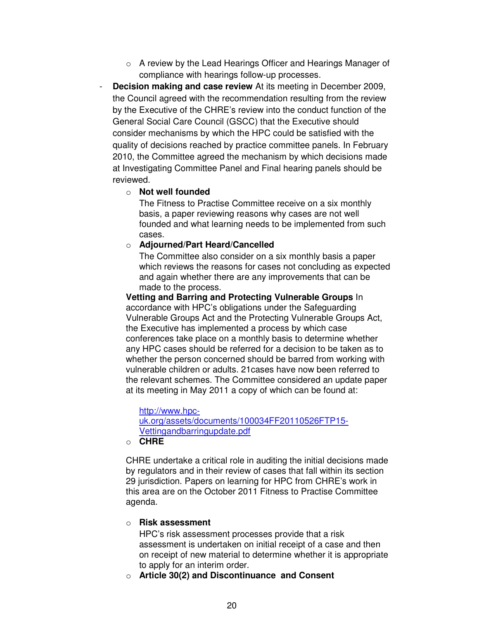- o A review by the Lead Hearings Officer and Hearings Manager of compliance with hearings follow-up processes.
- **Decision making and case review** At its meeting in December 2009, the Council agreed with the recommendation resulting from the review by the Executive of the CHRE's review into the conduct function of the General Social Care Council (GSCC) that the Executive should consider mechanisms by which the HPC could be satisfied with the quality of decisions reached by practice committee panels. In February 2010, the Committee agreed the mechanism by which decisions made at Investigating Committee Panel and Final hearing panels should be reviewed.
	- o **Not well founded**

The Fitness to Practise Committee receive on a six monthly basis, a paper reviewing reasons why cases are not well founded and what learning needs to be implemented from such cases.

o **Adjourned/Part Heard/Cancelled** 

The Committee also consider on a six monthly basis a paper which reviews the reasons for cases not concluding as expected and again whether there are any improvements that can be made to the process.

**Vetting and Barring and Protecting Vulnerable Groups** In accordance with HPC's obligations under the Safeguarding Vulnerable Groups Act and the Protecting Vulnerable Groups Act, the Executive has implemented a process by which case conferences take place on a monthly basis to determine whether any HPC cases should be referred for a decision to be taken as to whether the person concerned should be barred from working with vulnerable children or adults. 21cases have now been referred to the relevant schemes. The Committee considered an update paper at its meeting in May 2011 a copy of which can be found at:

http://www.hpcuk.org/assets/documents/100034FF20110526FTP15- Vettingandbarringupdate.pdf

o **CHRE**

CHRE undertake a critical role in auditing the initial decisions made by regulators and in their review of cases that fall within its section 29 jurisdiction. Papers on learning for HPC from CHRE's work in this area are on the October 2011 Fitness to Practise Committee agenda.

#### o **Risk assessment**

HPC's risk assessment processes provide that a risk assessment is undertaken on initial receipt of a case and then on receipt of new material to determine whether it is appropriate to apply for an interim order.

o **Article 30(2) and Discontinuance and Consent**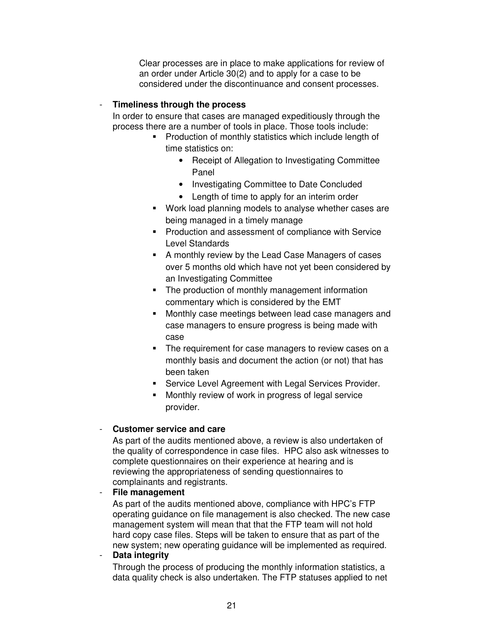Clear processes are in place to make applications for review of an order under Article 30(2) and to apply for a case to be considered under the discontinuance and consent processes.

#### - **Timeliness through the process**

In order to ensure that cases are managed expeditiously through the process there are a number of tools in place. Those tools include:

- **Production of monthly statistics which include length of** time statistics on:
	- Receipt of Allegation to Investigating Committee Panel
	- Investigating Committee to Date Concluded
	- Length of time to apply for an interim order
- Work load planning models to analyse whether cases are being managed in a timely manage
- **Production and assessment of compliance with Service** Level Standards
- A monthly review by the Lead Case Managers of cases over 5 months old which have not yet been considered by an Investigating Committee
- The production of monthly management information commentary which is considered by the EMT
- Monthly case meetings between lead case managers and case managers to ensure progress is being made with case
- The requirement for case managers to review cases on a monthly basis and document the action (or not) that has been taken
- **Service Level Agreement with Legal Services Provider.**
- Monthly review of work in progress of legal service provider.

#### - **Customer service and care**

As part of the audits mentioned above, a review is also undertaken of the quality of correspondence in case files. HPC also ask witnesses to complete questionnaires on their experience at hearing and is reviewing the appropriateness of sending questionnaires to complainants and registrants.

#### - **File management**

As part of the audits mentioned above, compliance with HPC's FTP operating guidance on file management is also checked. The new case management system will mean that that the FTP team will not hold hard copy case files. Steps will be taken to ensure that as part of the new system; new operating guidance will be implemented as required.

## - **Data integrity**

Through the process of producing the monthly information statistics, a data quality check is also undertaken. The FTP statuses applied to net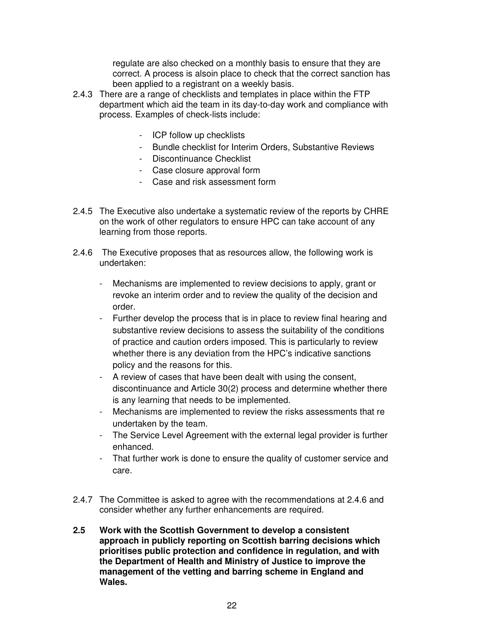regulate are also checked on a monthly basis to ensure that they are correct. A process is alsoin place to check that the correct sanction has been applied to a registrant on a weekly basis.

- 2.4.3 There are a range of checklists and templates in place within the FTP department which aid the team in its day-to-day work and compliance with process. Examples of check-lists include:
	- ICP follow up checklists
	- Bundle checklist for Interim Orders, Substantive Reviews
	- Discontinuance Checklist
	- Case closure approval form
	- Case and risk assessment form
- 2.4.5 The Executive also undertake a systematic review of the reports by CHRE on the work of other regulators to ensure HPC can take account of any learning from those reports.
- 2.4.6 The Executive proposes that as resources allow, the following work is undertaken:
	- Mechanisms are implemented to review decisions to apply, grant or revoke an interim order and to review the quality of the decision and order.
	- Further develop the process that is in place to review final hearing and substantive review decisions to assess the suitability of the conditions of practice and caution orders imposed. This is particularly to review whether there is any deviation from the HPC's indicative sanctions policy and the reasons for this.
	- A review of cases that have been dealt with using the consent, discontinuance and Article 30(2) process and determine whether there is any learning that needs to be implemented.
	- Mechanisms are implemented to review the risks assessments that re undertaken by the team.
	- The Service Level Agreement with the external legal provider is further enhanced.
	- That further work is done to ensure the quality of customer service and care.
- 2.4.7 The Committee is asked to agree with the recommendations at 2.4.6 and consider whether any further enhancements are required.
- **2.5 Work with the Scottish Government to develop a consistent approach in publicly reporting on Scottish barring decisions which prioritises public protection and confidence in regulation, and with the Department of Health and Ministry of Justice to improve the management of the vetting and barring scheme in England and Wales.**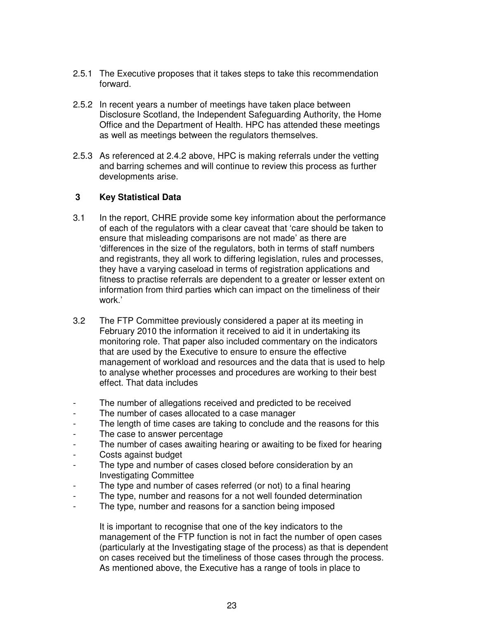- 2.5.1 The Executive proposes that it takes steps to take this recommendation forward.
- 2.5.2 In recent years a number of meetings have taken place between Disclosure Scotland, the Independent Safeguarding Authority, the Home Office and the Department of Health. HPC has attended these meetings as well as meetings between the regulators themselves.
- 2.5.3 As referenced at 2.4.2 above, HPC is making referrals under the vetting and barring schemes and will continue to review this process as further developments arise.

### **3 Key Statistical Data**

- 3.1 In the report, CHRE provide some key information about the performance of each of the regulators with a clear caveat that 'care should be taken to ensure that misleading comparisons are not made' as there are 'differences in the size of the regulators, both in terms of staff numbers and registrants, they all work to differing legislation, rules and processes, they have a varying caseload in terms of registration applications and fitness to practise referrals are dependent to a greater or lesser extent on information from third parties which can impact on the timeliness of their work.'
- 3.2 The FTP Committee previously considered a paper at its meeting in February 2010 the information it received to aid it in undertaking its monitoring role. That paper also included commentary on the indicators that are used by the Executive to ensure to ensure the effective management of workload and resources and the data that is used to help to analyse whether processes and procedures are working to their best effect. That data includes
- The number of allegations received and predicted to be received
- The number of cases allocated to a case manager
- The length of time cases are taking to conclude and the reasons for this
- The case to answer percentage
- The number of cases awaiting hearing or awaiting to be fixed for hearing
- Costs against budget
- The type and number of cases closed before consideration by an Investigating Committee
- The type and number of cases referred (or not) to a final hearing
- The type, number and reasons for a not well founded determination
- The type, number and reasons for a sanction being imposed

 It is important to recognise that one of the key indicators to the management of the FTP function is not in fact the number of open cases (particularly at the Investigating stage of the process) as that is dependent on cases received but the timeliness of those cases through the process. As mentioned above, the Executive has a range of tools in place to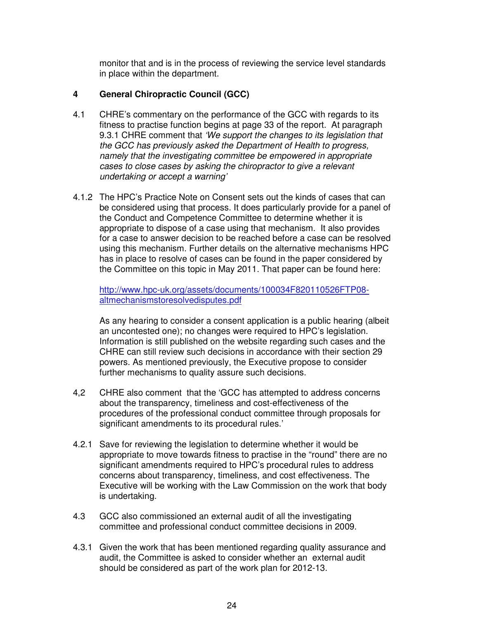monitor that and is in the process of reviewing the service level standards in place within the department.

#### **4 General Chiropractic Council (GCC)**

- 4.1 CHRE's commentary on the performance of the GCC with regards to its fitness to practise function begins at page 33 of the report. At paragraph 9.3.1 CHRE comment that 'We support the changes to its legislation that the GCC has previously asked the Department of Health to progress, namely that the investigating committee be empowered in appropriate cases to close cases by asking the chiropractor to give a relevant undertaking or accept a warning'
- 4.1.2 The HPC's Practice Note on Consent sets out the kinds of cases that can be considered using that process. It does particularly provide for a panel of the Conduct and Competence Committee to determine whether it is appropriate to dispose of a case using that mechanism. It also provides for a case to answer decision to be reached before a case can be resolved using this mechanism. Further details on the alternative mechanisms HPC has in place to resolve of cases can be found in the paper considered by the Committee on this topic in May 2011. That paper can be found here:

http://www.hpc-uk.org/assets/documents/100034F820110526FTP08 altmechanismstoresolvedisputes.pdf

As any hearing to consider a consent application is a public hearing (albeit an uncontested one); no changes were required to HPC's legislation. Information is still published on the website regarding such cases and the CHRE can still review such decisions in accordance with their section 29 powers. As mentioned previously, the Executive propose to consider further mechanisms to quality assure such decisions.

- 4,2 CHRE also comment that the 'GCC has attempted to address concerns about the transparency, timeliness and cost-effectiveness of the procedures of the professional conduct committee through proposals for significant amendments to its procedural rules.'
- 4.2.1 Save for reviewing the legislation to determine whether it would be appropriate to move towards fitness to practise in the "round" there are no significant amendments required to HPC's procedural rules to address concerns about transparency, timeliness, and cost effectiveness. The Executive will be working with the Law Commission on the work that body is undertaking.
- 4.3 GCC also commissioned an external audit of all the investigating committee and professional conduct committee decisions in 2009.
- 4.3.1 Given the work that has been mentioned regarding quality assurance and audit, the Committee is asked to consider whether an external audit should be considered as part of the work plan for 2012-13.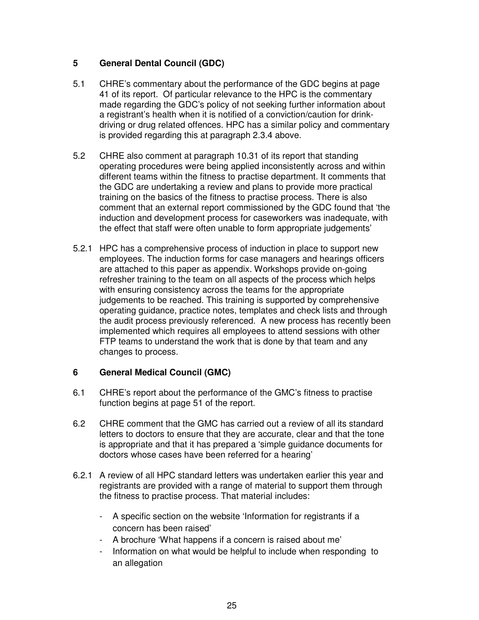## **5 General Dental Council (GDC)**

- 5.1 CHRE's commentary about the performance of the GDC begins at page 41 of its report. Of particular relevance to the HPC is the commentary made regarding the GDC's policy of not seeking further information about a registrant's health when it is notified of a conviction/caution for drinkdriving or drug related offences. HPC has a similar policy and commentary is provided regarding this at paragraph 2.3.4 above.
- 5.2 CHRE also comment at paragraph 10.31 of its report that standing operating procedures were being applied inconsistently across and within different teams within the fitness to practise department. It comments that the GDC are undertaking a review and plans to provide more practical training on the basics of the fitness to practise process. There is also comment that an external report commissioned by the GDC found that 'the induction and development process for caseworkers was inadequate, with the effect that staff were often unable to form appropriate judgements'
- 5.2.1 HPC has a comprehensive process of induction in place to support new employees. The induction forms for case managers and hearings officers are attached to this paper as appendix. Workshops provide on-going refresher training to the team on all aspects of the process which helps with ensuring consistency across the teams for the appropriate judgements to be reached. This training is supported by comprehensive operating guidance, practice notes, templates and check lists and through the audit process previously referenced. A new process has recently been implemented which requires all employees to attend sessions with other FTP teams to understand the work that is done by that team and any changes to process.

## **6 General Medical Council (GMC)**

- 6.1 CHRE's report about the performance of the GMC's fitness to practise function begins at page 51 of the report.
- 6.2 CHRE comment that the GMC has carried out a review of all its standard letters to doctors to ensure that they are accurate, clear and that the tone is appropriate and that it has prepared a 'simple guidance documents for doctors whose cases have been referred for a hearing'
- 6.2.1 A review of all HPC standard letters was undertaken earlier this year and registrants are provided with a range of material to support them through the fitness to practise process. That material includes:
	- A specific section on the website 'Information for registrants if a concern has been raised'
	- A brochure 'What happens if a concern is raised about me'
	- Information on what would be helpful to include when responding to an allegation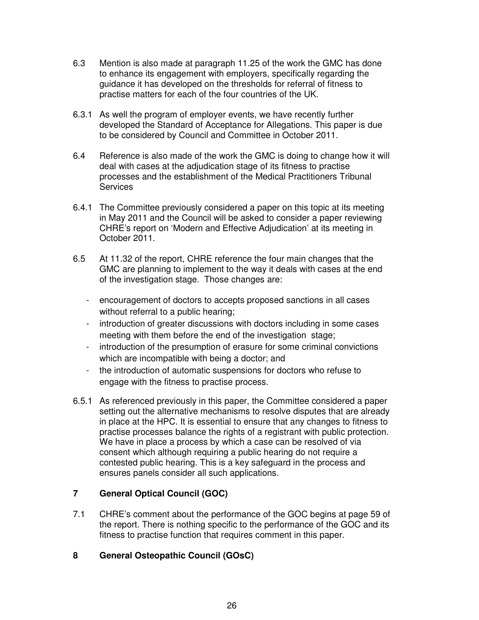- 6.3 Mention is also made at paragraph 11.25 of the work the GMC has done to enhance its engagement with employers, specifically regarding the guidance it has developed on the thresholds for referral of fitness to practise matters for each of the four countries of the UK.
- 6.3.1 As well the program of employer events, we have recently further developed the Standard of Acceptance for Allegations. This paper is due to be considered by Council and Committee in October 2011.
- 6.4 Reference is also made of the work the GMC is doing to change how it will deal with cases at the adjudication stage of its fitness to practise processes and the establishment of the Medical Practitioners Tribunal **Services**
- 6.4.1 The Committee previously considered a paper on this topic at its meeting in May 2011 and the Council will be asked to consider a paper reviewing CHRE's report on 'Modern and Effective Adjudication' at its meeting in October 2011.
- 6.5 At 11.32 of the report, CHRE reference the four main changes that the GMC are planning to implement to the way it deals with cases at the end of the investigation stage. Those changes are:
	- encouragement of doctors to accepts proposed sanctions in all cases without referral to a public hearing;
	- introduction of greater discussions with doctors including in some cases meeting with them before the end of the investigation stage;
	- introduction of the presumption of erasure for some criminal convictions which are incompatible with being a doctor; and
	- the introduction of automatic suspensions for doctors who refuse to engage with the fitness to practise process.
- 6.5.1 As referenced previously in this paper, the Committee considered a paper setting out the alternative mechanisms to resolve disputes that are already in place at the HPC. It is essential to ensure that any changes to fitness to practise processes balance the rights of a registrant with public protection. We have in place a process by which a case can be resolved of via consent which although requiring a public hearing do not require a contested public hearing. This is a key safeguard in the process and ensures panels consider all such applications.

## **7 General Optical Council (GOC)**

7.1 CHRE's comment about the performance of the GOC begins at page 59 of the report. There is nothing specific to the performance of the GOC and its fitness to practise function that requires comment in this paper.

## **8 General Osteopathic Council (GOsC)**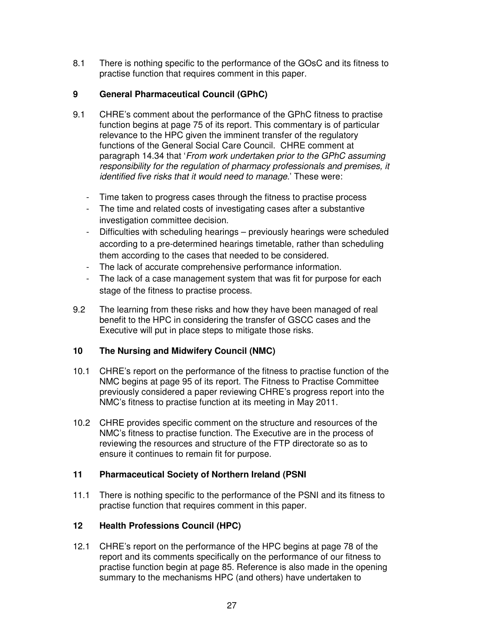8.1 There is nothing specific to the performance of the GOsC and its fitness to practise function that requires comment in this paper.

## **9 General Pharmaceutical Council (GPhC)**

- 9.1 CHRE's comment about the performance of the GPhC fitness to practise function begins at page 75 of its report. This commentary is of particular relevance to the HPC given the imminent transfer of the regulatory functions of the General Social Care Council. CHRE comment at paragraph 14.34 that 'From work undertaken prior to the GPhC assuming responsibility for the regulation of pharmacy professionals and premises, it identified five risks that it would need to manage.' These were:
	- Time taken to progress cases through the fitness to practise process
	- The time and related costs of investigating cases after a substantive investigation committee decision.
	- Difficulties with scheduling hearings previously hearings were scheduled according to a pre-determined hearings timetable, rather than scheduling them according to the cases that needed to be considered.
	- The lack of accurate comprehensive performance information.
	- The lack of a case management system that was fit for purpose for each stage of the fitness to practise process.
- 9.2 The learning from these risks and how they have been managed of real benefit to the HPC in considering the transfer of GSCC cases and the Executive will put in place steps to mitigate those risks.

## **10 The Nursing and Midwifery Council (NMC)**

- 10.1 CHRE's report on the performance of the fitness to practise function of the NMC begins at page 95 of its report. The Fitness to Practise Committee previously considered a paper reviewing CHRE's progress report into the NMC's fitness to practise function at its meeting in May 2011.
- 10.2 CHRE provides specific comment on the structure and resources of the NMC's fitness to practise function. The Executive are in the process of reviewing the resources and structure of the FTP directorate so as to ensure it continues to remain fit for purpose.

### **11 Pharmaceutical Society of Northern Ireland (PSNI**

11.1 There is nothing specific to the performance of the PSNI and its fitness to practise function that requires comment in this paper.

## **12 Health Professions Council (HPC)**

12.1 CHRE's report on the performance of the HPC begins at page 78 of the report and its comments specifically on the performance of our fitness to practise function begin at page 85. Reference is also made in the opening summary to the mechanisms HPC (and others) have undertaken to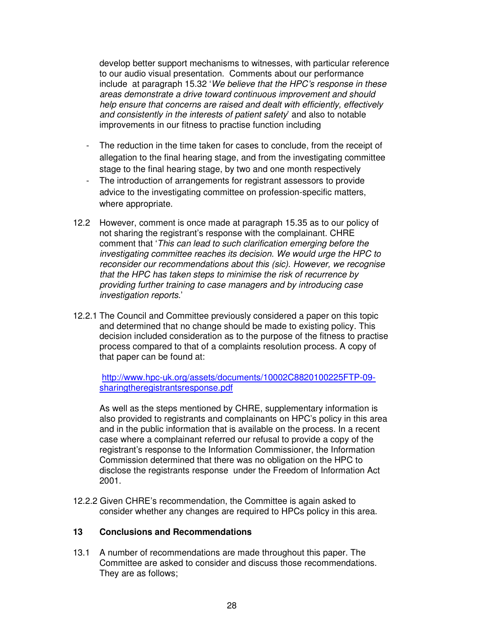develop better support mechanisms to witnesses, with particular reference to our audio visual presentation. Comments about our performance include at paragraph 15.32 'We believe that the HPC's response in these areas demonstrate a drive toward continuous improvement and should help ensure that concerns are raised and dealt with efficiently, effectively and consistently in the interests of patient safety' and also to notable improvements in our fitness to practise function including

- The reduction in the time taken for cases to conclude, from the receipt of allegation to the final hearing stage, and from the investigating committee stage to the final hearing stage, by two and one month respectively
- The introduction of arrangements for registrant assessors to provide advice to the investigating committee on profession-specific matters, where appropriate.
- 12.2 However, comment is once made at paragraph 15.35 as to our policy of not sharing the registrant's response with the complainant. CHRE comment that 'This can lead to such clarification emerging before the investigating committee reaches its decision. We would urge the HPC to reconsider our recommendations about this (sic). However, we recognise that the HPC has taken steps to minimise the risk of recurrence by providing further training to case managers and by introducing case investigation reports.'
- 12.2.1 The Council and Committee previously considered a paper on this topic and determined that no change should be made to existing policy. This decision included consideration as to the purpose of the fitness to practise process compared to that of a complaints resolution process. A copy of that paper can be found at:

http://www.hpc-uk.org/assets/documents/10002C8820100225FTP-09 sharingtheregistrantsresponse.pdf

As well as the steps mentioned by CHRE, supplementary information is also provided to registrants and complainants on HPC's policy in this area and in the public information that is available on the process. In a recent case where a complainant referred our refusal to provide a copy of the registrant's response to the Information Commissioner, the Information Commission determined that there was no obligation on the HPC to disclose the registrants response under the Freedom of Information Act 2001.

12.2.2 Given CHRE's recommendation, the Committee is again asked to consider whether any changes are required to HPCs policy in this area.

### **13 Conclusions and Recommendations**

13.1 A number of recommendations are made throughout this paper. The Committee are asked to consider and discuss those recommendations. They are as follows;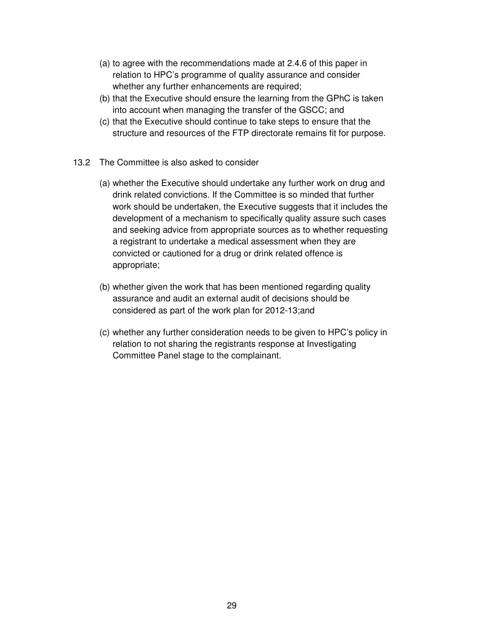- (a) to agree with the recommendations made at 2.4.6 of this paper in relation to HPC's programme of quality assurance and consider whether any further enhancements are required;
- (b) that the Executive should ensure the learning from the GPhC is taken into account when managing the transfer of the GSCC; and
- (c) that the Executive should continue to take steps to ensure that the structure and resources of the FTP directorate remains fit for purpose.
- 13.2 The Committee is also asked to consider
	- (a) whether the Executive should undertake any further work on drug and drink related convictions. If the Committee is so minded that further work should be undertaken, the Executive suggests that it includes the development of a mechanism to specifically quality assure such cases and seeking advice from appropriate sources as to whether requesting a registrant to undertake a medical assessment when they are convicted or cautioned for a drug or drink related offence is appropriate;
	- (b) whether given the work that has been mentioned regarding quality assurance and audit an external audit of decisions should be considered as part of the work plan for 2012-13;and
	- (c) whether any further consideration needs to be given to HPC's policy in relation to not sharing the registrants response at Investigating Committee Panel stage to the complainant.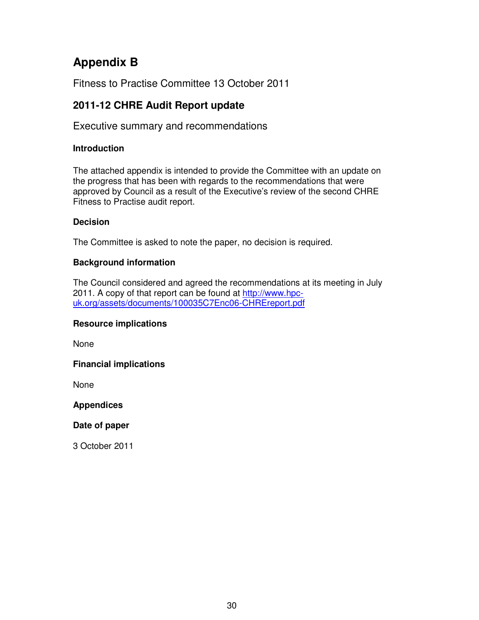# **Appendix B**

Fitness to Practise Committee 13 October 2011

# **2011-12 CHRE Audit Report update**

Executive summary and recommendations

## **Introduction**

The attached appendix is intended to provide the Committee with an update on the progress that has been with regards to the recommendations that were approved by Council as a result of the Executive's review of the second CHRE Fitness to Practise audit report.

## **Decision**

The Committee is asked to note the paper, no decision is required.

## **Background information**

The Council considered and agreed the recommendations at its meeting in July 2011. A copy of that report can be found at http://www.hpcuk.org/assets/documents/100035C7Enc06-CHREreport.pdf

## **Resource implications**

None

## **Financial implications**

None

## **Appendices**

## **Date of paper**

3 October 2011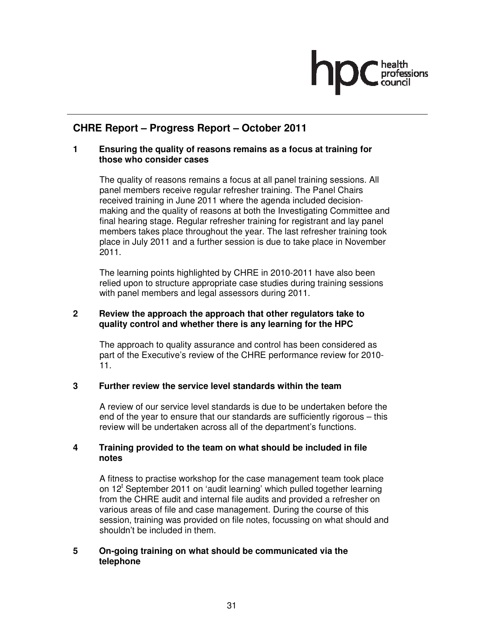# **CHRE Report – Progress Report – October 2011**

## **1 Ensuring the quality of reasons remains as a focus at training for those who consider cases**

The quality of reasons remains a focus at all panel training sessions. All panel members receive regular refresher training. The Panel Chairs received training in June 2011 where the agenda included decisionmaking and the quality of reasons at both the Investigating Committee and final hearing stage. Regular refresher training for registrant and lay panel members takes place throughout the year. The last refresher training took place in July 2011 and a further session is due to take place in November 2011.

The learning points highlighted by CHRE in 2010-2011 have also been relied upon to structure appropriate case studies during training sessions with panel members and legal assessors during 2011.

## **2 Review the approach the approach that other regulators take to quality control and whether there is any learning for the HPC**

The approach to quality assurance and control has been considered as part of the Executive's review of the CHRE performance review for 2010- 11.

## **3 Further review the service level standards within the team**

A review of our service level standards is due to be undertaken before the end of the year to ensure that our standards are sufficiently rigorous – this review will be undertaken across all of the department's functions.

## **4 Training provided to the team on what should be included in file notes**

A fitness to practise workshop for the case management team took place on 12<sup>t</sup> September 2011 on 'audit learning' which pulled together learning from the CHRE audit and internal file audits and provided a refresher on various areas of file and case management. During the course of this session, training was provided on file notes, focussing on what should and shouldn't be included in them.

## **5 On-going training on what should be communicated via the telephone**